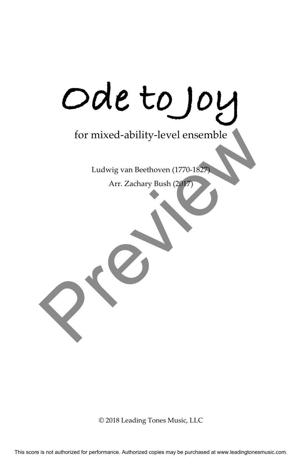## **Ode to Joy**

for mixed-ability-level ensemble for mixed-ability-level ensemble<br>Ludwig van Beethoven (1770-1827)<br>Arr. Zachary Bush (2077)

Ludwig van Beethoven (1770-1827)

Arr. Zachary Bush (2017)

## © 2018 Leading Tones Music, LLC

This score is not authorized for performance. Authorized copies may be purchased at www.leadingtonesmusic.com.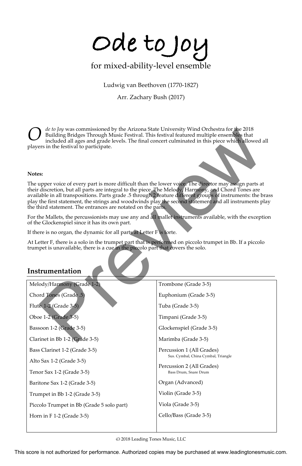© 2018 Leading Tones Music, LLC

**Ode to Joy**  for mixed-ability-level ensemble

Ludwig van Beethoven (1770-1827)

Arr. Zachary Bush (2017)

## **Notes:**

*de to Joy* was commissioned by the Arizona State University Wind Orchestra for the 2018 Building Bridges Through Music Festival. This festival featured multiple ensembles that included all ages and grade levels. The final concert culminated in this piece which allowed all players in the festival to participate. *O*

## **Instrumentation**

| players in the festival to participate.                                                                                                                                                       | <i>de to Joy</i> was commissioned by the Arizona State University Wind Orchestra for the 2018<br>Building Bridges Through Music Festival. This festival featured multiple ensembles that<br>included all ages and grade levels. The final concert culminated in this piece which allowed all                                                                                                                                            |
|-----------------------------------------------------------------------------------------------------------------------------------------------------------------------------------------------|-----------------------------------------------------------------------------------------------------------------------------------------------------------------------------------------------------------------------------------------------------------------------------------------------------------------------------------------------------------------------------------------------------------------------------------------|
| Notes:                                                                                                                                                                                        |                                                                                                                                                                                                                                                                                                                                                                                                                                         |
| the third statement. The entrances are notated on the parts.                                                                                                                                  | The upper voice of every part is more difficult than the lower voice. The director may assign parts at<br>their discretion, but all parts are integral to the piece. The Melody, Harmony, and Chord Tones are<br>available in all transpositions. Parts grade .5 through 2 feature different groups of instruments: the brass<br>play the first statement, the strings and woodwinds play the second statement and all instruments play |
| of the Glockenspiel since it has its own part.                                                                                                                                                | For the Mallets, the percussionists may use any and all mallet instruments available, with the exception                                                                                                                                                                                                                                                                                                                                |
| If there is no organ, the dynamic for all parts at Letter $F$ is forte.                                                                                                                       |                                                                                                                                                                                                                                                                                                                                                                                                                                         |
| At Letter F, there is a solo in the trumpet part that is performed on piccolo trumpet in Bb. If a piccolo<br>trumpet is unavailable, there is a cue in the piccolo part that covers the solo. |                                                                                                                                                                                                                                                                                                                                                                                                                                         |
| Instrumentation                                                                                                                                                                               |                                                                                                                                                                                                                                                                                                                                                                                                                                         |
| Melody/Harmony (Grade 1-2).                                                                                                                                                                   | Trombone (Grade 3-5)                                                                                                                                                                                                                                                                                                                                                                                                                    |
| Chord Tones (Grade .5)                                                                                                                                                                        | Euphonium (Grade 3-5)                                                                                                                                                                                                                                                                                                                                                                                                                   |
| Flute 1-2 (Grade 3-5)                                                                                                                                                                         | Tuba (Grade 3-5)                                                                                                                                                                                                                                                                                                                                                                                                                        |
| Oboe 1-2 (Grade 3-5)                                                                                                                                                                          | Timpani (Grade 3-5)                                                                                                                                                                                                                                                                                                                                                                                                                     |
| Bassoon 1-2 (Grade 3-5)                                                                                                                                                                       | Glockenspiel (Grade 3-5)                                                                                                                                                                                                                                                                                                                                                                                                                |
| Clarinet in Bb 1-2 (Grade 3-5)                                                                                                                                                                | Marimba (Grade 3-5)                                                                                                                                                                                                                                                                                                                                                                                                                     |

```
Bass Clarinet 1-2 (Grade 3-5)
Alto Sax 1-2 (Grade 3-5)
Tenor Sax 1-2 (Grade 3-5)
Baritone Sax 1-2 (Grade 3-5)
Trumpet in Bb 1-2 (Grade 3-5)
Piccolo Trumpet in Bb (Grade 5 solo part)
Horn in F 1-2 (Grade 3-5)
                                                        Percussion 1 (All Grades)
                                                             Sus. Cymbal, China Cymbal, Triangle
                                                        Percussion 2 (All Grades)
                                                             Bass Drum, Snare Drum
                                                        Organ (Advanced)
                                                        Violin (Grade 3-5)
                                                        Viola (Grade 3-5)
                                                        Cello/Bass (Grade 3-5)
```
This score is not authorized for performance. Authorized copies may be purchased at www.leadingtonesmusic.com.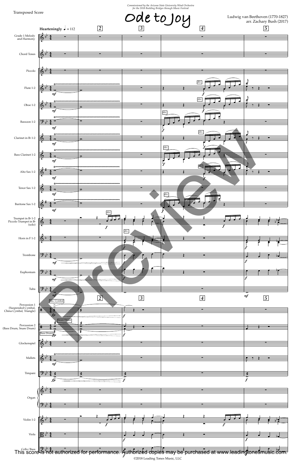

*Commissioned by the Arizona State University Wind Orchestra for the 2018 Building Bridges through Music Festival*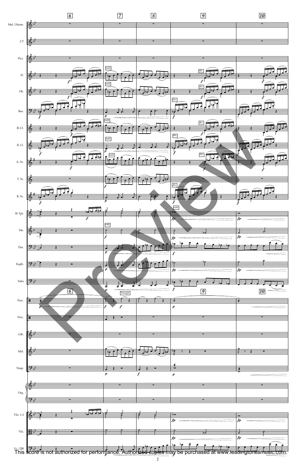

2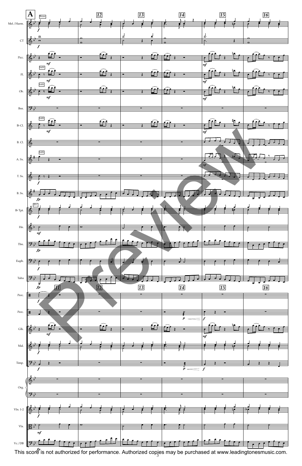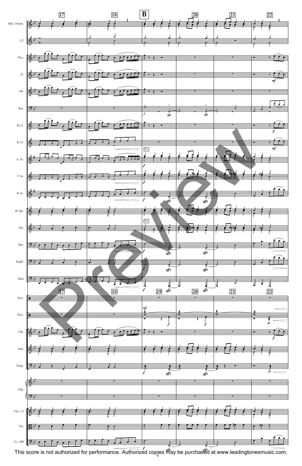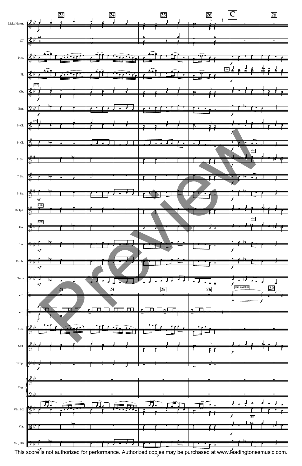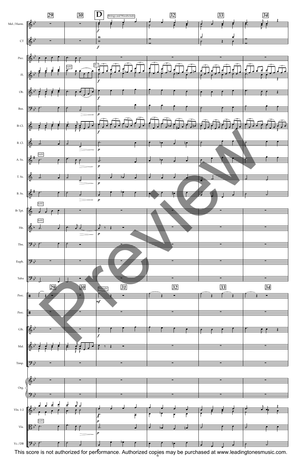

p<br>fr 6 This score is not authorized for performance. Authorized copies may be purchased at www.leadingtonesmusic.com.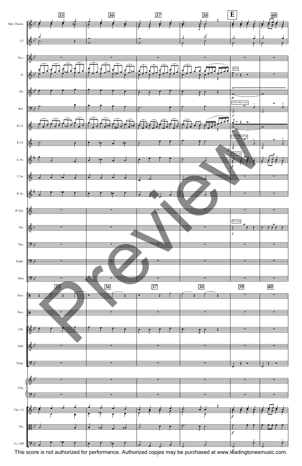

f 7 This score is not authorized for performance. Authorized copies may be purchased at www.leadingtonesmusic.com.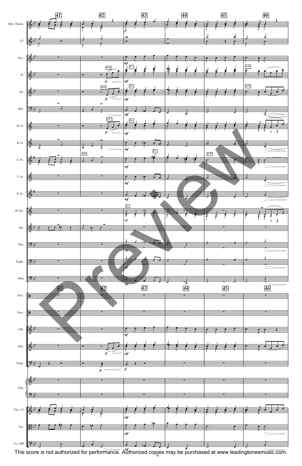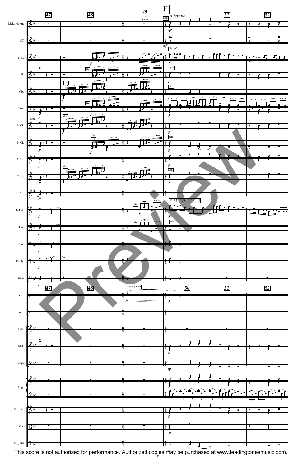

p 9 This score is not authorized for performance. Authorized copies may be purchased at www.leadingtonesmusic.com.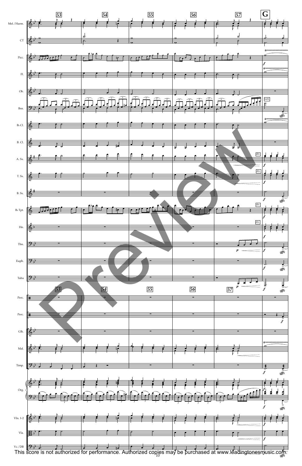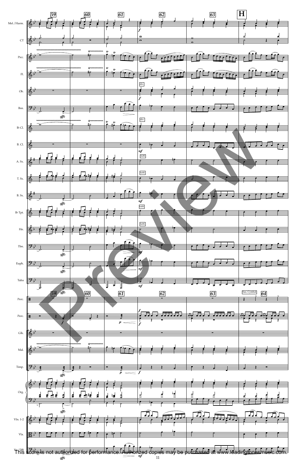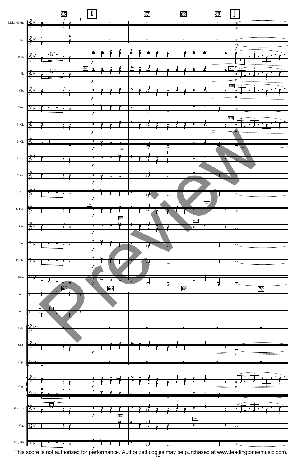